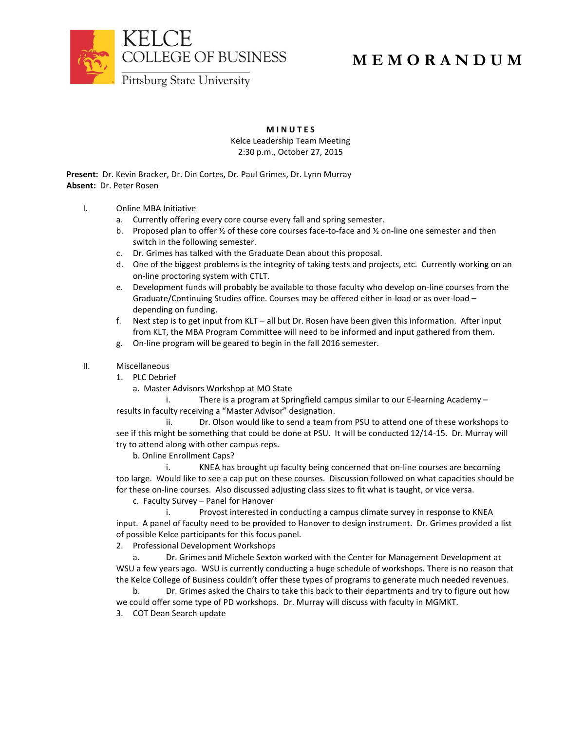

## **M E M O R A N D U M**

**M I N U T E S**

Kelce Leadership Team Meeting 2:30 p.m., October 27, 2015

**Present:** Dr. Kevin Bracker, Dr. Din Cortes, Dr. Paul Grimes, Dr. Lynn Murray **Absent:** Dr. Peter Rosen

- I. Online MBA Initiative
	- a. Currently offering every core course every fall and spring semester.
	- b. Proposed plan to offer  $\frac{1}{2}$  of these core courses face-to-face and  $\frac{1}{2}$  on-line one semester and then switch in the following semester.
	- c. Dr. Grimes has talked with the Graduate Dean about this proposal.
	- d. One of the biggest problems is the integrity of taking tests and projects, etc. Currently working on an on-line proctoring system with CTLT.
	- e. Development funds will probably be available to those faculty who develop on-line courses from the Graduate/Continuing Studies office. Courses may be offered either in-load or as over-load – depending on funding.
	- f. Next step is to get input from KLT all but Dr. Rosen have been given this information. After input from KLT, the MBA Program Committee will need to be informed and input gathered from them.
	- g. On-line program will be geared to begin in the fall 2016 semester.
- II. Miscellaneous
	- 1. PLC Debrief
		- a. Master Advisors Workshop at MO State

i. There is a program at Springfield campus similar to our E-learning Academy – results in faculty receiving a "Master Advisor" designation.

ii. Dr. Olson would like to send a team from PSU to attend one of these workshops to see if this might be something that could be done at PSU. It will be conducted 12/14-15. Dr. Murray will try to attend along with other campus reps.

b. Online Enrollment Caps?

i. KNEA has brought up faculty being concerned that on-line courses are becoming too large. Would like to see a cap put on these courses. Discussion followed on what capacities should be for these on-line courses. Also discussed adjusting class sizes to fit what is taught, or vice versa.

c. Faculty Survey – Panel for Hanover

i. Provost interested in conducting a campus climate survey in response to KNEA input. A panel of faculty need to be provided to Hanover to design instrument. Dr. Grimes provided a list of possible Kelce participants for this focus panel.

2. Professional Development Workshops

a. Dr. Grimes and Michele Sexton worked with the Center for Management Development at WSU a few years ago. WSU is currently conducting a huge schedule of workshops. There is no reason that the Kelce College of Business couldn't offer these types of programs to generate much needed revenues.

b. Dr. Grimes asked the Chairs to take this back to their departments and try to figure out how we could offer some type of PD workshops. Dr. Murray will discuss with faculty in MGMKT.

3. COT Dean Search update